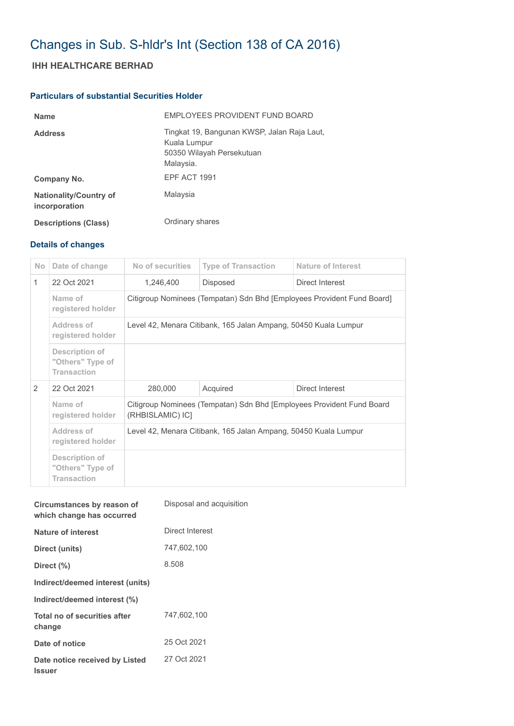# Changes in Sub. S-hldr's Int (Section 138 of CA 2016)

# **IHH HEALTHCARE BERHAD**

## **Particulars of substantial Securities Holder**

| <b>Name</b>                                    | EMPLOYEES PROVIDENT FUND BOARD                                                                        |
|------------------------------------------------|-------------------------------------------------------------------------------------------------------|
| <b>Address</b>                                 | Tingkat 19, Bangunan KWSP, Jalan Raja Laut,<br>Kuala Lumpur<br>50350 Wilayah Persekutuan<br>Malaysia. |
| Company No.                                    | EPF ACT 1991                                                                                          |
| <b>Nationality/Country of</b><br>incorporation | Malaysia                                                                                              |
| <b>Descriptions (Class)</b>                    | Ordinary shares                                                                                       |

### **Details of changes**

| N <sub>o</sub> | Date of change                                           | No of securities                                                                          | <b>Type of Transaction</b> | Nature of Interest |  |  |
|----------------|----------------------------------------------------------|-------------------------------------------------------------------------------------------|----------------------------|--------------------|--|--|
| 1              | 22 Oct 2021                                              | 1,246,400                                                                                 | Disposed                   | Direct Interest    |  |  |
|                | Name of<br>registered holder                             | Citigroup Nominees (Tempatan) Sdn Bhd [Employees Provident Fund Board]                    |                            |                    |  |  |
|                | Address of<br>registered holder                          | Level 42, Menara Citibank, 165 Jalan Ampang, 50450 Kuala Lumpur                           |                            |                    |  |  |
|                | Description of<br>"Others" Type of<br><b>Transaction</b> |                                                                                           |                            |                    |  |  |
| 2              | 22 Oct 2021                                              | 280,000<br>Acquired<br>Direct Interest                                                    |                            |                    |  |  |
|                | Name of<br>registered holder                             | Citigroup Nominees (Tempatan) Sdn Bhd [Employees Provident Fund Board<br>(RHBISLAMIC) ICI |                            |                    |  |  |
|                | Address of<br>registered holder                          | Level 42, Menara Citibank, 165 Jalan Ampang, 50450 Kuala Lumpur                           |                            |                    |  |  |
|                | Description of<br>"Others" Type of<br><b>Transaction</b> |                                                                                           |                            |                    |  |  |

| Circumstances by reason of<br>which change has occurred | Disposal and acquisition |
|---------------------------------------------------------|--------------------------|
| Nature of interest                                      | Direct Interest          |
| Direct (units)                                          | 747,602,100              |
| Direct (%)                                              | 8.508                    |
| Indirect/deemed interest (units)                        |                          |
| Indirect/deemed interest (%)                            |                          |
| Total no of securities after<br>change                  | 747,602,100              |
| Date of notice                                          | 25 Oct 2021              |
| Date notice received by Listed<br><b>Issuer</b>         | 27 Oct 2021              |